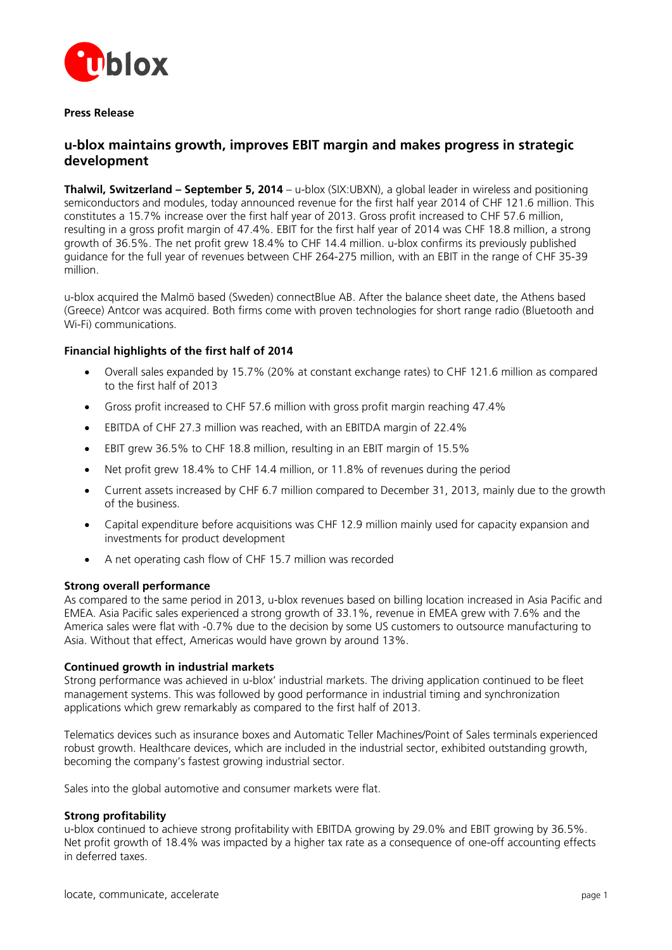

**Press Release**

# **u-blox maintains growth, improves EBIT margin and makes progress in strategic development**

**Thalwil, Switzerland – September 5, 2014** – u-blox (SIX:UBXN), a global leader in wireless and positioning semiconductors and modules, today announced revenue for the first half year 2014 of CHF 121.6 million. This constitutes a 15.7% increase over the first half year of 2013. Gross profit increased to CHF 57.6 million, resulting in a gross profit margin of 47.4%. EBIT for the first half year of 2014 was CHF 18.8 million, a strong growth of 36.5%. The net profit grew 18.4% to CHF 14.4 million. u-blox confirms its previously published guidance for the full year of revenues between CHF 264-275 million, with an EBIT in the range of CHF 35-39 million.

u-blox acquired the Malmö based (Sweden) connectBlue AB. After the balance sheet date, the Athens based (Greece) Antcor was acquired. Both firms come with proven technologies for short range radio (Bluetooth and Wi-Fi) communications.

# **Financial highlights of the first half of 2014**

- Overall sales expanded by 15.7% (20% at constant exchange rates) to CHF 121.6 million as compared to the first half of 2013
- Gross profit increased to CHF 57.6 million with gross profit margin reaching 47.4%
- EBITDA of CHF 27.3 million was reached, with an EBITDA margin of 22.4%
- EBIT grew 36.5% to CHF 18.8 million, resulting in an EBIT margin of 15.5%
- Net profit grew 18.4% to CHF 14.4 million, or 11.8% of revenues during the period
- Current assets increased by CHF 6.7 million compared to December 31, 2013, mainly due to the growth of the business.
- Capital expenditure before acquisitions was CHF 12.9 million mainly used for capacity expansion and investments for product development
- A net operating cash flow of CHF 15.7 million was recorded

#### **Strong overall performance**

As compared to the same period in 2013, u-blox revenues based on billing location increased in Asia Pacific and EMEA. Asia Pacific sales experienced a strong growth of 33.1%, revenue in EMEA grew with 7.6% and the America sales were flat with -0.7% due to the decision by some US customers to outsource manufacturing to Asia. Without that effect, Americas would have grown by around 13%.

#### **Continued growth in industrial markets**

Strong performance was achieved in u-blox' industrial markets. The driving application continued to be fleet management systems. This was followed by good performance in industrial timing and synchronization applications which grew remarkably as compared to the first half of 2013.

Telematics devices such as insurance boxes and Automatic Teller Machines/Point of Sales terminals experienced robust growth. Healthcare devices, which are included in the industrial sector, exhibited outstanding growth, becoming the company's fastest growing industrial sector.

Sales into the global automotive and consumer markets were flat.

### **Strong profitability**

u-blox continued to achieve strong profitability with EBITDA growing by 29.0% and EBIT growing by 36.5%. Net profit growth of 18.4% was impacted by a higher tax rate as a consequence of one-off accounting effects in deferred taxes.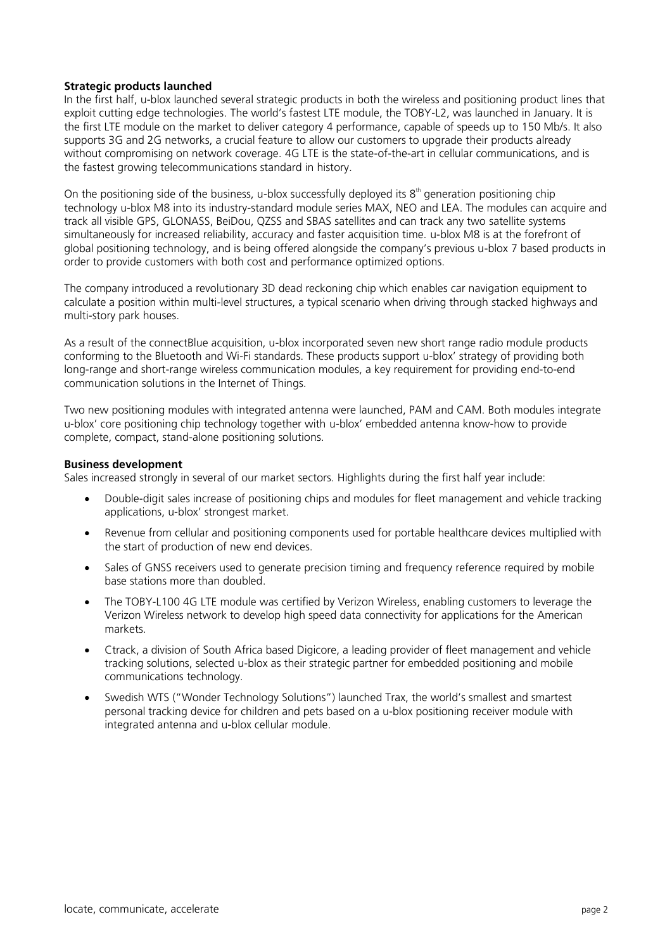### **Strategic products launched**

In the first half, u-blox launched several strategic products in both the wireless and positioning product lines that exploit cutting edge technologies. The world's fastest LTE module, the TOBY-L2, was launched in January. It is the first LTE module on the market to deliver category 4 performance, capable of speeds up to 150 Mb/s. It also supports 3G and 2G networks, a crucial feature to allow our customers to upgrade their products already without compromising on network coverage. 4G LTE is the state-of-the-art in cellular communications, and is the fastest growing telecommunications standard in history.

On the positioning side of the business, u-blox successfully deployed its  $8<sup>th</sup>$  generation positioning chip technology u-blox M8 into its industry-standard module series MAX, NEO and LEA. The modules can acquire and track all visible GPS, GLONASS, BeiDou, QZSS and SBAS satellites and can track any two satellite systems simultaneously for increased reliability, accuracy and faster acquisition time. u-blox M8 is at the forefront of global positioning technology, and is being offered alongside the company's previous u-blox 7 based products in order to provide customers with both cost and performance optimized options.

The company introduced a revolutionary 3D dead reckoning chip which enables car navigation equipment to calculate a position within multi-level structures, a typical scenario when driving through stacked highways and multi-story park houses.

As a result of the connectBlue acquisition, u-blox incorporated seven new short range radio module products conforming to the Bluetooth and Wi-Fi standards. These products support u-blox' strategy of providing both long-range and short-range wireless communication modules, a key requirement for providing end-to-end communication solutions in the Internet of Things.

Two new positioning modules with integrated antenna were launched, PAM and CAM. Both modules integrate u-blox' core positioning chip technology together with u-blox' embedded antenna know-how to provide complete, compact, stand-alone positioning solutions.

#### **Business development**

Sales increased strongly in several of our market sectors. Highlights during the first half year include:

- Double-digit sales increase of positioning chips and modules for fleet management and vehicle tracking applications, u-blox' strongest market.
- Revenue from cellular and positioning components used for portable healthcare devices multiplied with the start of production of new end devices.
- Sales of GNSS receivers used to generate precision timing and frequency reference required by mobile base stations more than doubled.
- The TOBY-L100 4G LTE module was certified by Verizon Wireless, enabling customers to leverage the Verizon Wireless network to develop high speed data connectivity for applications for the American markets.
- Ctrack, a division of South Africa based Digicore, a leading provider of fleet management and vehicle tracking solutions, selected u-blox as their strategic partner for embedded positioning and mobile communications technology.
- Swedish WTS ("Wonder Technology Solutions") launched Trax, the world's smallest and smartest personal tracking device for children and pets based on a u-blox positioning receiver module with integrated antenna and u-blox cellular module.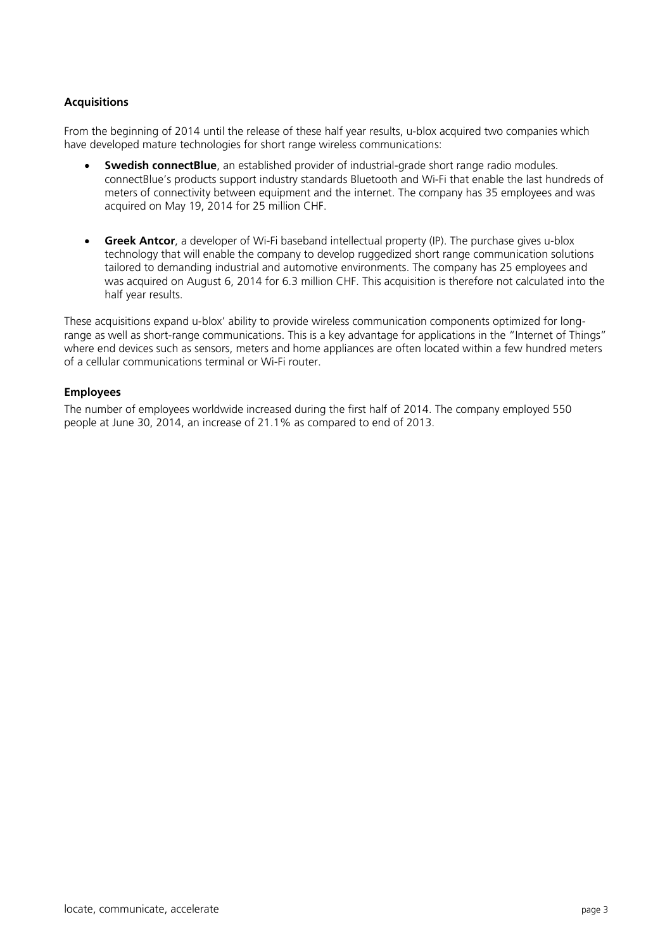# **Acquisitions**

From the beginning of 2014 until the release of these half year results, u-blox acquired two companies which have developed mature technologies for short range wireless communications:

- **Swedish connectBlue**, an established provider of industrial-grade short range radio modules. connectBlue's products support industry standards Bluetooth and Wi-Fi that enable the last hundreds of meters of connectivity between equipment and the internet. The company has 35 employees and was acquired on May 19, 2014 for 25 million CHF.
- **Greek Antcor**, a developer of Wi-Fi baseband intellectual property (IP). The purchase gives u-blox technology that will enable the company to develop ruggedized short range communication solutions tailored to demanding industrial and automotive environments. The company has 25 employees and was acquired on August 6, 2014 for 6.3 million CHF. This acquisition is therefore not calculated into the half year results.

These acquisitions expand u-blox' ability to provide wireless communication components optimized for longrange as well as short-range communications. This is a key advantage for applications in the "Internet of Things" where end devices such as sensors, meters and home appliances are often located within a few hundred meters of a cellular communications terminal or Wi-Fi router.

# **Employees**

The number of employees worldwide increased during the first half of 2014. The company employed 550 people at June 30, 2014, an increase of 21.1% as compared to end of 2013.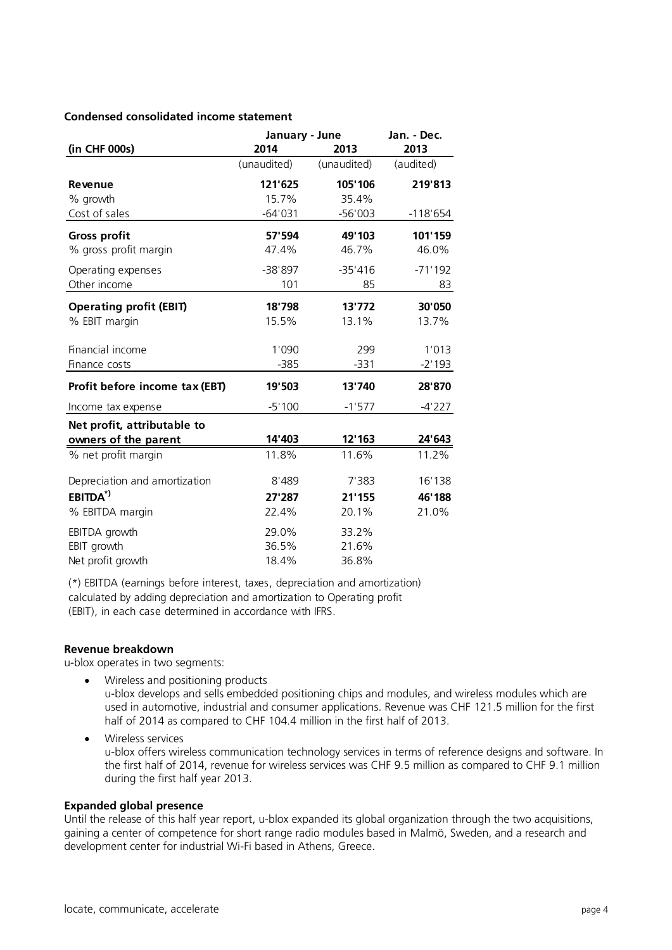## **Condensed consolidated income statement**

|                                | January - June |             | Jan. - Dec. |
|--------------------------------|----------------|-------------|-------------|
| (in CHF 000s)                  | 2014           | 2013        | 2013        |
|                                | (unaudited)    | (unaudited) | (audited)   |
| Revenue                        | 121'625        | 105'106     | 219'813     |
| % growth                       | 15.7%          | 35.4%       |             |
| Cost of sales                  | $-64'031$      | $-56'003$   | $-118'654$  |
| <b>Gross profit</b>            | 57'594         | 49'103      | 101'159     |
| % gross profit margin          | 47.4%          | 46.7%       | 46.0%       |
| Operating expenses             | -38'897        | $-35'416$   | $-71'192$   |
| Other income                   | 101            | 85          | 83          |
| <b>Operating profit (EBIT)</b> | 18'798         | 13'772      | 30'050      |
| % EBIT margin                  | 15.5%          | 13.1%       | 13.7%       |
| Financial income               | 1'090          | 299         | 1'013       |
| Finance costs                  | $-385$         | $-331$      | $-2'193$    |
| Profit before income tax (EBT) | 19'503         | 13'740      | 28'870      |
| Income tax expense             | $-5'100$       | $-1'577$    | $-4'227$    |
| Net profit, attributable to    |                |             |             |
| owners of the parent           | 14'403         | 12'163      | 24'643      |
| % net profit margin            | 11.8%          | 11.6%       | 11.2%       |
| Depreciation and amortization  | 8'489          | 7'383       | 16'138      |
| $EBITDA*$                      | 27'287         | 21'155      | 46'188      |
| % EBITDA margin                | 22.4%          | 20.1%       | 21.0%       |
| EBITDA growth                  | 29.0%          | 33.2%       |             |
| EBIT growth                    | 36.5%          | 21.6%       |             |
| Net profit growth              | 18.4%          | 36.8%       |             |

(\*) EBITDA (earnings before interest, taxes, depreciation and amortization) calculated by adding depreciation and amortization to Operating profit (EBIT), in each case determined in accordance with IFRS.

#### **Revenue breakdown**

u-blox operates in two segments:

• Wireless and positioning products u-blox develops and sells embedded positioning chips and modules, and wireless modules which are used in automotive, industrial and consumer applications. Revenue was CHF 121.5 million for the first half of 2014 as compared to CHF 104.4 million in the first half of 2013.

 Wireless services u-blox offers wireless communication technology services in terms of reference designs and software. In the first half of 2014, revenue for wireless services was CHF 9.5 million as compared to CHF 9.1 million during the first half year 2013.

# **Expanded global presence**

Until the release of this half year report, u-blox expanded its global organization through the two acquisitions, gaining a center of competence for short range radio modules based in Malmö, Sweden, and a research and development center for industrial Wi-Fi based in Athens, Greece.